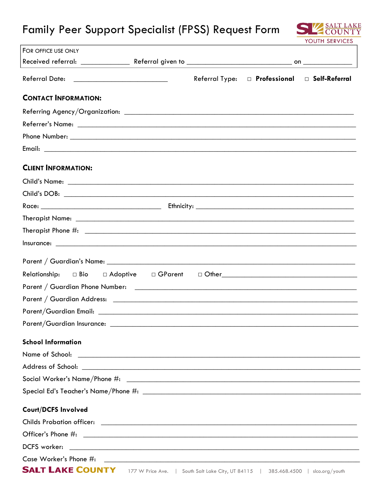## Family Peer Support Specialist (FPSS) Request Form



| FOR OFFICE USE ONLY                                                                                                                                                                                                            |                |                                |  |
|--------------------------------------------------------------------------------------------------------------------------------------------------------------------------------------------------------------------------------|----------------|--------------------------------|--|
|                                                                                                                                                                                                                                |                |                                |  |
|                                                                                                                                                                                                                                | Referral Type: | D Professional D Self-Referral |  |
| <b>CONTACT INFORMATION:</b>                                                                                                                                                                                                    |                |                                |  |
|                                                                                                                                                                                                                                |                |                                |  |
|                                                                                                                                                                                                                                |                |                                |  |
|                                                                                                                                                                                                                                |                |                                |  |
|                                                                                                                                                                                                                                |                |                                |  |
| <b>CLIENT INFORMATION:</b>                                                                                                                                                                                                     |                |                                |  |
|                                                                                                                                                                                                                                |                |                                |  |
|                                                                                                                                                                                                                                |                |                                |  |
|                                                                                                                                                                                                                                |                |                                |  |
|                                                                                                                                                                                                                                |                |                                |  |
|                                                                                                                                                                                                                                |                |                                |  |
|                                                                                                                                                                                                                                |                |                                |  |
|                                                                                                                                                                                                                                |                |                                |  |
|                                                                                                                                                                                                                                |                |                                |  |
|                                                                                                                                                                                                                                |                |                                |  |
|                                                                                                                                                                                                                                |                |                                |  |
|                                                                                                                                                                                                                                |                |                                |  |
| Parent/Guardian Insurance:                                                                                                                                                                                                     |                |                                |  |
| <b>School Information</b>                                                                                                                                                                                                      |                |                                |  |
|                                                                                                                                                                                                                                |                |                                |  |
|                                                                                                                                                                                                                                |                |                                |  |
| Social Worker's Name/Phone #: \\espirit \\espirit \\espirit \\espirit \\espirit \\espirit \\espirit \\espirit \\espirit \\espirit \\espirit \\espirit \\espirit \\espirit \\espirit \\espirit \\espirit \\espirit \\espirit \\ |                |                                |  |
|                                                                                                                                                                                                                                |                |                                |  |
| <b>Court/DCFS Involved</b>                                                                                                                                                                                                     |                |                                |  |
|                                                                                                                                                                                                                                |                |                                |  |
|                                                                                                                                                                                                                                |                |                                |  |
|                                                                                                                                                                                                                                |                |                                |  |
|                                                                                                                                                                                                                                |                |                                |  |
|                                                                                                                                                                                                                                |                |                                |  |